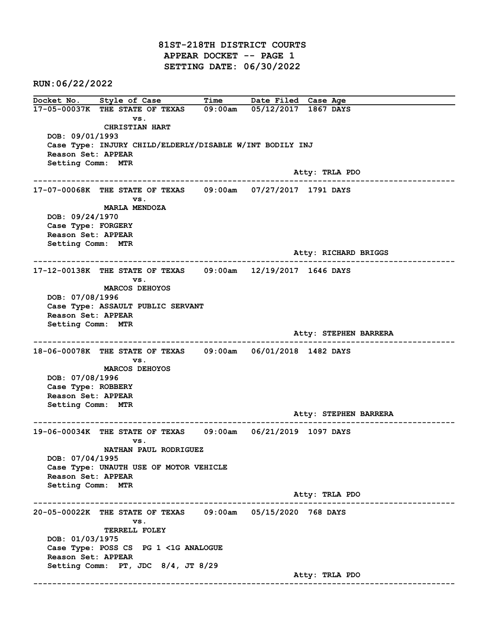81ST-218TH DISTRICT COURTS APPEAR DOCKET -- PAGE 1 SETTING DATE: 06/30/2022

RUN:06/22/2022

Docket No. Style of Case Time Date Filed Case Age 17-05-00037K THE STATE OF TEXAS 09:00am 05/12/2017 1867 DAYS vs. CHRISTIAN HART DOB: 09/01/1993 Case Type: INJURY CHILD/ELDERLY/DISABLE W/INT BODILY INJ Reason Set: APPEAR Setting Comm: MTR Atty: TRLA PDO ------------------------------------------------------------------------------------------------------------------------ 17-07-00068K THE STATE OF TEXAS 09:00am 07/27/2017 1791 DAYS vs. MARLA MENDOZA DOB: 09/24/1970 Case Type: FORGERY Reason Set: APPEAR Setting Comm: MTR Atty: RICHARD BRIGGS ------------------------------------------------------------------------------------------------------------------------ 17-12-00138K THE STATE OF TEXAS 09:00am 12/19/2017 1646 DAYS vs. MARCOS DEHOYOS DOB: 07/08/1996 Case Type: ASSAULT PUBLIC SERVANT Reason Set: APPEAR Setting Comm: MTR Atty: STEPHEN BARRERA ------------------------------------------------------------------------------------------------------------------------ 18-06-00078K THE STATE OF TEXAS 09:00am 06/01/2018 1482 DAYS vs. MARCOS DEHOYOS DOB: 07/08/1996 Case Type: ROBBERY Reason Set: APPEAR Setting Comm: MTR Atty: STEPHEN BARRERA ------------------------------------------------------------------------------------------------------------------------ 19-06-00034K THE STATE OF TEXAS 09:00am 06/21/2019 1097 DAYS vs. NATHAN PAUL RODRIGUEZ DOB: 07/04/1995 Case Type: UNAUTH USE OF MOTOR VEHICLE Reason Set: APPEAR Setting Comm: MTR Atty: TRLA PDO ------------------------------------------------------------------------------------------------------------------------ 20-05-00022K THE STATE OF TEXAS 09:00am 05/15/2020 768 DAYS vs. TERRELL FOLEY DOB: 01/03/1975 Case Type: POSS CS PG 1 <1G ANALOGUE Reason Set: APPEAR Setting Comm: PT, JDC 8/4, JT 8/29 Atty: TRLA PDO ------------------------------------------------------------------------------------------------------------------------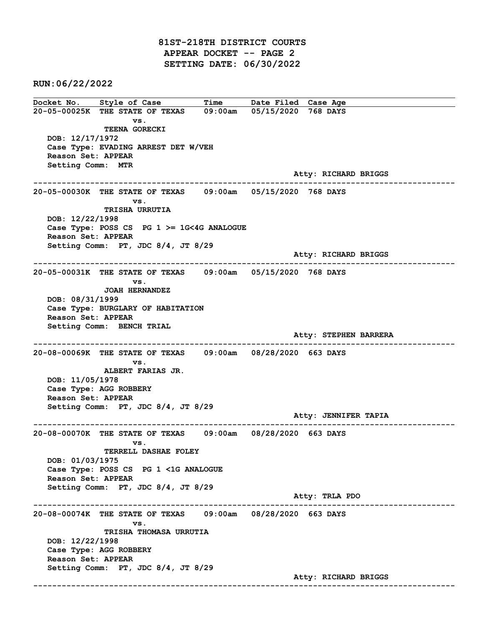81ST-218TH DISTRICT COURTS APPEAR DOCKET -- PAGE 2 SETTING DATE: 06/30/2022

RUN:06/22/2022

Docket No. Style of Case Time Date Filed Case Age 20-05-00025K THE STATE OF TEXAS 09:00am 05/15/2020 768 DAYS vs. TEENA GORECKI DOB: 12/17/1972 Case Type: EVADING ARREST DET W/VEH Reason Set: APPEAR Setting Comm: MTR Atty: RICHARD BRIGGS ------------------------------------------------------------------------------------------------------------------------ 20-05-00030K THE STATE OF TEXAS 09:00am 05/15/2020 768 DAYS vs. TRISHA URRUTIA DOB: 12/22/1998 Case Type: POSS CS PG 1 >= 1G<4G ANALOGUE Reason Set: APPEAR Setting Comm: PT, JDC 8/4, JT 8/29 Atty: RICHARD BRIGGS ------------------------------------------------------------------------------------------------------------------------ 20-05-00031K THE STATE OF TEXAS 09:00am 05/15/2020 768 DAYS vs. JOAH HERNANDEZ DOB: 08/31/1999 Case Type: BURGLARY OF HABITATION Reason Set: APPEAR Setting Comm: BENCH TRIAL Atty: STEPHEN BARRERA ------------------------------------------------------------------------------------------------------------------------ 20-08-00069K THE STATE OF TEXAS 09:00am 08/28/2020 663 DAYS vs. ALBERT FARIAS JR. DOB: 11/05/1978 Case Type: AGG ROBBERY Reason Set: APPEAR Setting Comm: PT, JDC 8/4, JT 8/29 Atty: JENNIFER TAPIA ------------------------------------------------------------------------------------------------------------------------ 20-08-00070K THE STATE OF TEXAS 09:00am 08/28/2020 663 DAYS vs. TERRELL DASHAE FOLEY DOB: 01/03/1975 Case Type: POSS CS PG 1 <1G ANALOGUE Reason Set: APPEAR Setting Comm: PT, JDC 8/4, JT 8/29 Atty: TRLA PDO ------------------------------------------------------------------------------------------------------------------------ 20-08-00074K THE STATE OF TEXAS 09:00am 08/28/2020 663 DAYS vs. TRISHA THOMASA URRUTIA DOB: 12/22/1998 Case Type: AGG ROBBERY Reason Set: APPEAR Setting Comm: PT, JDC 8/4, JT 8/29 Atty: RICHARD BRIGGS ------------------------------------------------------------------------------------------------------------------------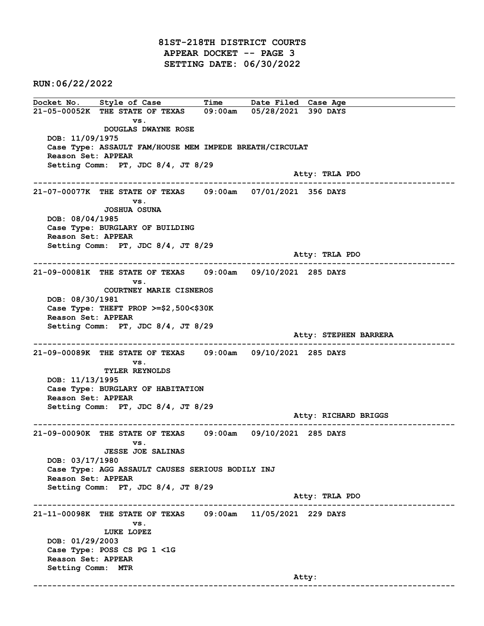81ST-218TH DISTRICT COURTS APPEAR DOCKET -- PAGE 3 SETTING DATE: 06/30/2022

RUN:06/22/2022

Docket No. Style of Case Time Date Filed Case Age 21-05-00052K THE STATE OF TEXAS 09:00am 05/28/2021 390 DAYS vs. DOUGLAS DWAYNE ROSE DOB: 11/09/1975 Case Type: ASSAULT FAM/HOUSE MEM IMPEDE BREATH/CIRCULAT Reason Set: APPEAR Setting Comm: PT, JDC 8/4, JT 8/29 Atty: TRLA PDO ------------------------------------------------------------------------------------------------------------------------ 21-07-00077K THE STATE OF TEXAS 09:00am 07/01/2021 356 DAYS vs. JOSHUA OSUNA DOB: 08/04/1985 Case Type: BURGLARY OF BUILDING Reason Set: APPEAR Setting Comm: PT, JDC 8/4, JT 8/29 Atty: TRLA PDO ------------------------------------------------------------------------------------------------------------------------ 21-09-00081K THE STATE OF TEXAS 09:00am 09/10/2021 285 DAYS vs. COURTNEY MARIE CISNEROS DOB: 08/30/1981 Case Type: THEFT PROP >=\$2,500<\$30K Reason Set: APPEAR Setting Comm: PT, JDC 8/4, JT 8/29 Atty: STEPHEN BARRERA ------------------------------------------------------------------------------------------------------------------------ 21-09-00089K THE STATE OF TEXAS 09:00am 09/10/2021 285 DAYS vs. TYLER REYNOLDS DOB: 11/13/1995 Case Type: BURGLARY OF HABITATION Reason Set: APPEAR Setting Comm: PT, JDC 8/4, JT 8/29 Atty: RICHARD BRIGGS ------------------------------------------------------------------------------------------------------------------------ 21-09-00090K THE STATE OF TEXAS 09:00am 09/10/2021 285 DAYS vs. JESSE JOE SALINAS DOB: 03/17/1980 Case Type: AGG ASSAULT CAUSES SERIOUS BODILY INJ Reason Set: APPEAR Setting Comm: PT, JDC 8/4, JT 8/29 Atty: TRLA PDO ------------------------------------------------------------------------------------------------------------------------ 21-11-00098K THE STATE OF TEXAS 09:00am 11/05/2021 229 DAYS vs. LUKE LOPEZ DOB: 01/29/2003 Case Type: POSS CS PG 1 <1G Reason Set: APPEAR Setting Comm: MTR and the control of the control of the control of the control of the control of the control of the control of the control of the control of the control of the control of the control of the control of the control of the cont ------------------------------------------------------------------------------------------------------------------------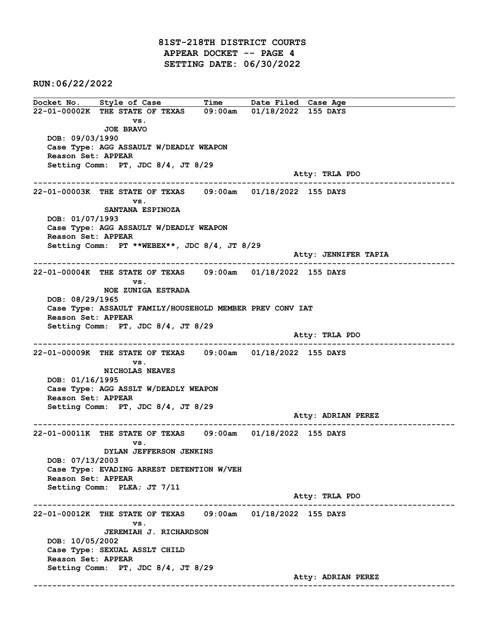81ST-218TH DISTRICT COURTS APPEAR DOCKET -- PAGE 4 SETTING DATE: 06/30/2022

RUN:06/22/2022

Docket No. Style of Case Time Date Filed Case Age 22-01-00002K THE STATE OF TEXAS 09:00am 01/18/2022 155 DAYS vs. JOE BRAVO DOB: 09/03/1990 Case Type: AGG ASSAULT W/DEADLY WEAPON Reason Set: APPEAR Setting Comm: PT, JDC 8/4, JT 8/29 Atty: TRLA PDO ------------------------------------------------------------------------------------------------------------------------ 22-01-00003K THE STATE OF TEXAS 09:00am 01/18/2022 155 DAYS vs. SANTANA ESPINOZA DOB: 01/07/1993 Case Type: AGG ASSAULT W/DEADLY WEAPON Reason Set: APPEAR Setting Comm: PT \*\*WEBEX\*\*, JDC 8/4, JT 8/29 Atty: JENNIFER TAPIA ------------------------------------------------------------------------------------------------------------------------ 22-01-00004K THE STATE OF TEXAS 09:00am 01/18/2022 155 DAYS vs. NOE ZUNIGA ESTRADA DOB: 08/29/1965 Case Type: ASSAULT FAMILY/HOUSEHOLD MEMBER PREV CONV IAT Reason Set: APPEAR Setting Comm: PT, JDC 8/4, JT 8/29 Atty: TRLA PDO ------------------------------------------------------------------------------------------------------------------------ 22-01-00009K THE STATE OF TEXAS 09:00am 01/18/2022 155 DAYS vs. NICHOLAS NEAVES DOB: 01/16/1995 Case Type: AGG ASSLT W/DEADLY WEAPON Reason Set: APPEAR Setting Comm: PT, JDC 8/4, JT 8/29 Atty: ADRIAN PEREZ ------------------------------------------------------------------------------------------------------------------------ 22-01-00011K THE STATE OF TEXAS 09:00am 01/18/2022 155 DAYS vs. DYLAN JEFFERSON JENKINS DOB: 07/13/2003 Case Type: EVADING ARREST DETENTION W/VEH Reason Set: APPEAR Setting Comm: PLEA; JT 7/11 Atty: TRLA PDO ------------------------------------------------------------------------------------------------------------------------ 22-01-00012K THE STATE OF TEXAS 09:00am 01/18/2022 155 DAYS vs. JEREMIAH J. RICHARDSON DOB: 10/05/2002 Case Type: SEXUAL ASSLT CHILD Reason Set: APPEAR Setting Comm: PT, JDC 8/4, JT 8/29 Atty: ADRIAN PEREZ ------------------------------------------------------------------------------------------------------------------------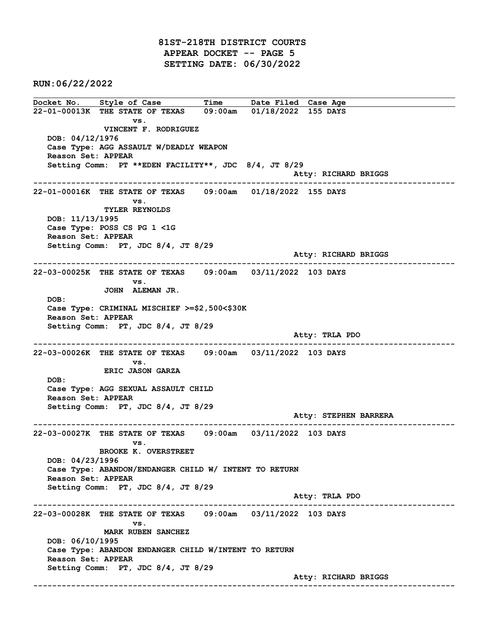81ST-218TH DISTRICT COURTS APPEAR DOCKET -- PAGE 5 SETTING DATE: 06/30/2022

RUN:06/22/2022

Docket No. Style of Case Time Date Filed Case Age 22-01-00013K THE STATE OF TEXAS 09:00am 01/18/2022 155 DAYS vs. VINCENT F. RODRIGUEZ DOB: 04/12/1976 Case Type: AGG ASSAULT W/DEADLY WEAPON Reason Set: APPEAR Setting Comm: PT \*\*EDEN FACILITY\*\*, JDC 8/4, JT 8/29 Atty: RICHARD BRIGGS ------------------------------------------------------------------------------------------------------------------------ 22-01-00016K THE STATE OF TEXAS 09:00am 01/18/2022 155 DAYS vs. TYLER REYNOLDS DOB: 11/13/1995 Case Type: POSS CS PG 1 <1G Reason Set: APPEAR Setting Comm: PT, JDC 8/4, JT 8/29 Atty: RICHARD BRIGGS ------------------------------------------------------------------------------------------------------------------------ 22-03-00025K THE STATE OF TEXAS 09:00am 03/11/2022 103 DAYS vs. JOHN ALEMAN JR. DOB: Case Type: CRIMINAL MISCHIEF >=\$2,500<\$30K Reason Set: APPEAR Setting Comm: PT, JDC 8/4, JT 8/29 Atty: TRLA PDO ------------------------------------------------------------------------------------------------------------------------ 22-03-00026K THE STATE OF TEXAS 09:00am 03/11/2022 103 DAYS vs. ERIC JASON GARZA DOB: Case Type: AGG SEXUAL ASSAULT CHILD Reason Set: APPEAR Setting Comm: PT, JDC 8/4, JT 8/29 Atty: STEPHEN BARRERA ------------------------------------------------------------------------------------------------------------------------ 22-03-00027K THE STATE OF TEXAS 09:00am 03/11/2022 103 DAYS vs. BROOKE K. OVERSTREET DOB: 04/23/1996 Case Type: ABANDON/ENDANGER CHILD W/ INTENT TO RETURN Reason Set: APPEAR Setting Comm: PT, JDC 8/4, JT 8/29 Atty: TRLA PDO ------------------------------------------------------------------------------------------------------------------------ 22-03-00028K THE STATE OF TEXAS 09:00am 03/11/2022 103 DAYS vs. MARK RUBEN SANCHEZ DOB: 06/10/1995 Case Type: ABANDON ENDANGER CHILD W/INTENT TO RETURN Reason Set: APPEAR Setting Comm: PT, JDC 8/4, JT 8/29 Atty: RICHARD BRIGGS ------------------------------------------------------------------------------------------------------------------------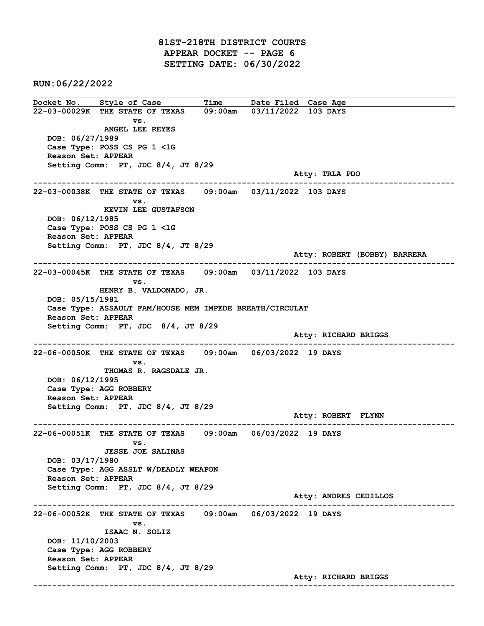81ST-218TH DISTRICT COURTS APPEAR DOCKET -- PAGE 6 SETTING DATE: 06/30/2022

RUN:06/22/2022

Docket No. Style of Case Time Date Filed Case Age 22-03-00029K THE STATE OF TEXAS 09:00am 03/11/2022 103 DAYS vs. ANGEL LEE REYES DOB: 06/27/1989 Case Type: POSS CS PG 1 <1G Reason Set: APPEAR Setting Comm: PT, JDC 8/4, JT 8/29 Atty: TRLA PDO ------------------------------------------------------------------------------------------------------------------------ 22-03-00038K THE STATE OF TEXAS 09:00am 03/11/2022 103 DAYS vs. KEVIN LEE GUSTAFSON DOB: 06/12/1985 Case Type: POSS CS PG 1 <1G Reason Set: APPEAR Setting Comm: PT, JDC 8/4, JT 8/29 Atty: ROBERT (BOBBY) BARRERA ------------------------------------------------------------------------------------------------------------------------ 22-03-00045K THE STATE OF TEXAS 09:00am 03/11/2022 103 DAYS vs. HENRY B. VALDONADO, JR. DOB: 05/15/1981 Case Type: ASSAULT FAM/HOUSE MEM IMPEDE BREATH/CIRCULAT Reason Set: APPEAR Setting Comm: PT, JDC 8/4, JT 8/29 Atty: RICHARD BRIGGS ------------------------------------------------------------------------------------------------------------------------ 22-06-00050K THE STATE OF TEXAS 09:00am 06/03/2022 19 DAYS vs. THOMAS R. RAGSDALE JR. DOB: 06/12/1995 Case Type: AGG ROBBERY Reason Set: APPEAR Setting Comm: PT, JDC 8/4, JT 8/29 Atty: ROBERT FLYNN ------------------------------------------------------------------------------------------------------------------------ 22-06-00051K THE STATE OF TEXAS 09:00am 06/03/2022 19 DAYS vs. JESSE JOE SALINAS DOB: 03/17/1980 Case Type: AGG ASSLT W/DEADLY WEAPON Reason Set: APPEAR Setting Comm: PT, JDC 8/4, JT 8/29 Atty: ANDRES CEDILLOS ------------------------------------------------------------------------------------------------------------------------ 22-06-00052K THE STATE OF TEXAS 09:00am 06/03/2022 19 DAYS vs. ISAAC N. SOLIZ DOB: 11/10/2003 Case Type: AGG ROBBERY Reason Set: APPEAR Setting Comm: PT, JDC 8/4, JT 8/29 Atty: RICHARD BRIGGS ------------------------------------------------------------------------------------------------------------------------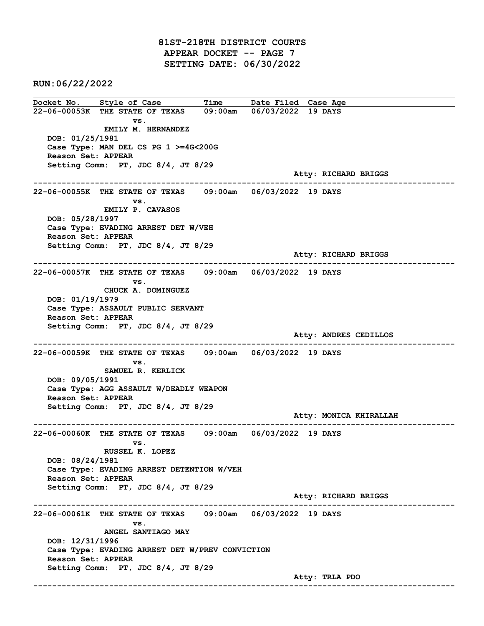81ST-218TH DISTRICT COURTS APPEAR DOCKET -- PAGE 7 SETTING DATE: 06/30/2022

RUN:06/22/2022

Docket No. Style of Case Time Date Filed Case Age 22-06-00053K THE STATE OF TEXAS 09:00am 06/03/2022 19 DAYS vs. EMILY M. HERNANDEZ DOB: 01/25/1981 Case Type: MAN DEL CS PG 1 >=4G<200G Reason Set: APPEAR Setting Comm: PT, JDC 8/4, JT 8/29 Atty: RICHARD BRIGGS ------------------------------------------------------------------------------------------------------------------------ 22-06-00055K THE STATE OF TEXAS 09:00am 06/03/2022 19 DAYS vs. EMILY P. CAVASOS DOB: 05/28/1997 Case Type: EVADING ARREST DET W/VEH Reason Set: APPEAR Setting Comm: PT, JDC 8/4, JT 8/29 Atty: RICHARD BRIGGS ------------------------------------------------------------------------------------------------------------------------ 22-06-00057K THE STATE OF TEXAS 09:00am 06/03/2022 19 DAYS vs. CHUCK A. DOMINGUEZ DOB: 01/19/1979 Case Type: ASSAULT PUBLIC SERVANT Reason Set: APPEAR Setting Comm: PT, JDC 8/4, JT 8/29 Atty: ANDRES CEDILLOS ------------------------------------------------------------------------------------------------------------------------ 22-06-00059K THE STATE OF TEXAS 09:00am 06/03/2022 19 DAYS vs. SAMUEL R. KERLICK DOB: 09/05/1991 Case Type: AGG ASSAULT W/DEADLY WEAPON Reason Set: APPEAR Setting Comm: PT, JDC 8/4, JT 8/29 Atty: MONICA KHIRALLAH ------------------------------------------------------------------------------------------------------------------------ 22-06-00060K THE STATE OF TEXAS 09:00am 06/03/2022 19 DAYS vs. RUSSEL K. LOPEZ DOB: 08/24/1981 Case Type: EVADING ARREST DETENTION W/VEH Reason Set: APPEAR Setting Comm: PT, JDC 8/4, JT 8/29 Atty: RICHARD BRIGGS ------------------------------------------------------------------------------------------------------------------------ 22-06-00061K THE STATE OF TEXAS 09:00am 06/03/2022 19 DAYS vs. ANGEL SANTIAGO MAY DOB: 12/31/1996 Case Type: EVADING ARREST DET W/PREV CONVICTION Reason Set: APPEAR Setting Comm: PT, JDC 8/4, JT 8/29 Atty: TRLA PDO ------------------------------------------------------------------------------------------------------------------------